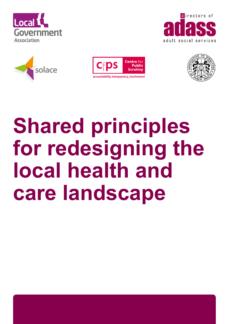









# **Shared principles for redesigning the local health and care landscape**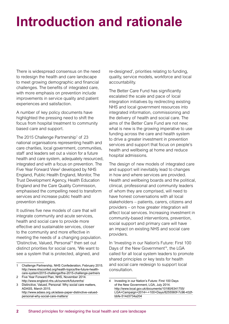### **Introduction and rationale**

There is widespread consensus on the need to redesign the health and care landscape to meet growing demographic and financial challenges. The benefits of integrated care, with more emphasis on prevention include improvements in service quality and patient experiences and satisfaction.

A number of key policy documents have highlighted the pressing need to shift the focus from hospital treatment to community based care and support.

The 2015 Challenge Partnership<sup>1</sup> of 23 national organisations representing health and care charities, local government, communities, staff and leaders set out a vision for a future health and care system, adequately resourced, integrated and with a focus on prevention. The Five Year Forward View<sup>2</sup> developed by NHS England, Public Health England, Monitor, The Trust Development Agency, Health Education England and the Care Quality Commission, emphasised the compelling need to transform services and increase public health and prevention strategies.

It outlines five new models of care that will integrate community and acute services, health and social care to provide more effective and sustainable services, closer to the community and more effective in meeting the needs of a changing population. 'Distinctive, Valued, Personal'3 then set out distinct priorities for social care, 'We want to see a system that is protected, aligned, and

re-designed', priorities relating to funding, quality, service models, workforce and local accountability.

The Better Care Fund has significantly escalated the scale and pace of local integration initiatives by redirecting existing NHS and local government resources into integrated information, commissioning and the delivery of health and social care. The aims of the Better Care Fund are not new; what is new is the growing imperative to use funding across the care and health system to drive a greater investment in prevention services and support that focus on people's health and wellbeing at home and reduce hospital admissions.

The design of new models of integrated care and support will inevitably lead to changes in how and where services are provided. Health and wellbeing boards and the political, clinical, professional and community leaders of whom they are comprised, will need to have honest conversations with all local stakeholders – patients, carers, citizens and providers – on how greater integration will affect local services. Increasing investment in community-based interventions, prevention, social support and primary care will have an impact on existing NHS and social care providers.

In 'Investing in our Nation's Future: First 100 Days of the New Government<sup>14</sup>, the LGA called for all local system leaders to promote shared principles or key tests for health and social care redesign to support local consultation.

<sup>1</sup> Challenge Partnership, NHS Confederation, February 2015. [http://www.nhsconfed.org/health-topics/the-future-health](http://www.nhsconfed.org/health-topics/the-future-health-care-system/2015-challenge/the-2015-challenge-partners)[care-system/2015-challenge/the-2015-challenge-partners](http://www.nhsconfed.org/health-topics/the-future-health-care-system/2015-challenge/the-2015-challenge-partners)

<sup>2</sup> Five Year Forward Plan, NHS, November 2014. <http://www.england.nhs.uk/ourwork/futurenhs/>

<sup>3</sup> Distinctive, Valued, Personal: Why social care matters, ADASS, March 2015. [http://www.adass.org.uk/adass-paper-distinctive-valued-](http://www.adass.org.uk/adass-paper-distinctive-valued-personal-why-social-care-matters/)

[personal-why-social-care-matters/](http://www.adass.org.uk/adass-paper-distinctive-valued-personal-why-social-care-matters/)

<sup>4</sup> Investing in our Nation's Future: First 100 Days of the New Government, LGA, July 2014. [http://www.local.gov.uk/documents/10180/6341755/](http://www.local.gov.uk/documents/10180/6341755/LGA+Campaign+2014+-+100+Days/8255560f-7c96-432f-bbfe-514d3734a204) [LGA+Campaign+2014+-+100+Days/8255560f-7c96-432f](http://www.local.gov.uk/documents/10180/6341755/LGA+Campaign+2014+-+100+Days/8255560f-7c96-432f-bbfe-514d3734a204)[bbfe-514d3734a204](http://www.local.gov.uk/documents/10180/6341755/LGA+Campaign+2014+-+100+Days/8255560f-7c96-432f-bbfe-514d3734a204)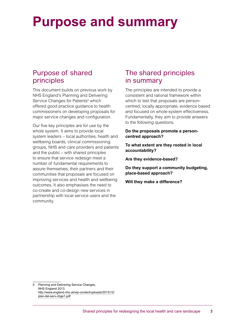### **Purpose and summary**

#### Purpose of shared principles

This document builds on previous work by NHS England's Planning and Delivering Service Changes for Patients<sup>5</sup> which offered good practice guidance to health commissioners on developing proposals for major service changes and configuration.

Our five key principles are for use by the whole system. It aims to provide local system leaders – local authorities, health and wellbeing boards, clinical commissioning groups, NHS and care providers and patients and the public – with shared principles to ensure that service redesign meet a number of fundamental requirements to assure themselves, their partners and their communities that proposals are focused on improving services and health and wellbeing outcomes. It also emphasises the need to co-create and co-design new services in partnership with local service users and the community.

### The shared principles in summary

The principles are intended to provide a consistent and rational framework within which to test that proposals are personcentred, locally appropriate, evidence based and focused on whole-system effectiveness. Fundamentally, they aim to provide answers to the following questions.

**Do the proposals promote a personcentred approach?**

**To what extent are they rooted in local accountability?**

**Are they evidence-based?**

**Do they support a community budgeting, place-based approach?**

**Will they make a difference?**

5 Planning and Delivering Service Changes, NHS England 2013. [http://www.england.nhs.uk/wp-content/uploads/2013/12/](http://www.england.nhs.uk/wp-content/uploads/2013/12/plan-del-serv-chge1.pdf) [plan-del-serv-chge1.pdf](http://www.england.nhs.uk/wp-content/uploads/2013/12/plan-del-serv-chge1.pdf)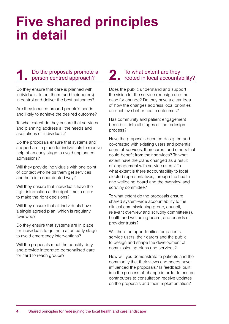### **Five shared principles in detail**

#### **1.** Do the proposals promote a person centred approach?

Do they ensure that care is planned with individuals, to put them (and their carers) in control and deliver the best outcomes?

Are they focused around people's needs and likely to achieve the desired outcome?

To what extent do they ensure that services and planning address all the needs and aspirations of individuals?

Do the proposals ensure that systems and support are in place for individuals to receive help at an early stage to avoid unplanned admissions?

Will they provide individuals with one point of contact who helps them get services and help in a coordinated way?

Will they ensure that individuals have the right information at the right time in order to make the right decisions?

Will they ensure that all individuals have a single agreed plan, which is regularly reviewed?

Do they ensure that systems are in place for individuals to get help at an early stage to avoid emergency interventions?

Will the proposals meet the equality duty and provide integrated personalised care for hard to reach groups?

## 2. To what extent are they<br>
rooted in local accountability?

Does the public understand and support the vision for the service redesign and the case for change? Do they have a clear idea of how the changes address local priorities and achieve better health outcomes?

Has community and patient engagement been built into all stages of the redesign process?

Have the proposals been co-designed and co-created with existing users and potential users of services, their carers and others that could benefit from their services? To what extent have the plans changed as a result of engagement with service users? To what extent is there accountability to local elected representatives, through the health and wellbeing board and the overview and scrutiny committee?

To what extent do the proposals ensure shared system-wide accountability to the clinical commissioning group, council, relevant overview and scrutiny committee(s), health and wellbeing board, and boards of provider trusts?

Will there be opportunities for patients, service users, their carers and the public to design and shape the development of commissioning plans and services?

How will you demonstrate to patients and the community that their views and needs have influenced the proposals? Is feedback built into the process of change in order to ensure contributors to consultation receive updates on the proposals and their implementation?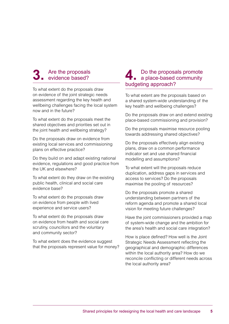#### **3.** Are the proposals evidence based?

To what extent do the proposals draw on evidence of the joint strategic needs assessment regarding the key health and wellbeing challenges facing the local system now and in the future?

To what extent do the proposals meet the shared objectives and priorities set out in the joint health and wellbeing strategy?

Do the proposals draw on evidence from existing local services and commissioning plans on effective practice?

Do they build on and adapt existing national evidence, regulations and good practice from the UK and elsewhere?

To what extent do they draw on the existing public health, clinical and social care evidence base?

To what extent do the proposals draw on evidence from people with lived experience and service users?

To what extent do the proposals draw on evidence from health and social care scrutiny, councillors and the voluntary and community sector?

To what extent does the evidence suggest that the proposals represent value for money?

#### **4.** Do the proposals promote a place-based community budgeting approach?

To what extent are the proposals based on a shared system-wide understanding of the key health and wellbeing challenges?

Do the proposals draw on and extend existing place-based commissioning and provision?

Do the proposals maximise resource pooling towards addressing shared objectives?

Do the proposals effectively align existing plans, draw on a common performance indicator set and use shared financial modelling and assumptions?

To what extent will the proposals reduce duplication, address gaps in services and access to services? Do the proposals maximise the pooling of resources?

Do the proposals promote a shared understanding between partners of the reform agenda and promote a shared local vision for meeting future challenges?

Have the joint commissioners provided a map of system-wide change and the ambition for the area's health and social care integration?

How is place defined? How well is the Joint Strategic Needs Assessment reflecting the geographical and demographic differences within the local authority area? How do we reconcile conflicting or different needs across the local authority area?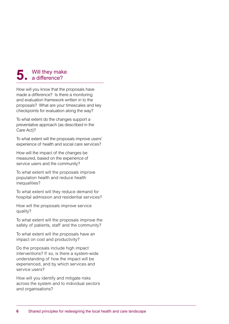### **5.** Will they make

How will you know that the proposals have made a difference? Is there a monitoring and evaluation framework written in to the proposals? What are your timescales and key checkpoints for evaluation along the way?

To what extent do the changes support a preventative approach (as described in the Care Act)?

To what extent will the proposals improve users' experience of health and social care services?

How will the impact of the changes be measured, based on the experience of service users and the community?

To what extent will the proposals improve population health and reduce health inequalities?

To what extent will they reduce demand for hospital admission and residential services?

How will the proposals improve service quality?

To what extent will the proposals improve the safety of patients, staff and the community?

To what extent will the proposals have an impact on cost and productivity?

Do the proposals include high impact interventions? If so, is there a system-wide understanding of how the impact will be experienced, and by which services and service users?

How will you identify and mitigate risks across the system and to individual sectors and organisations?